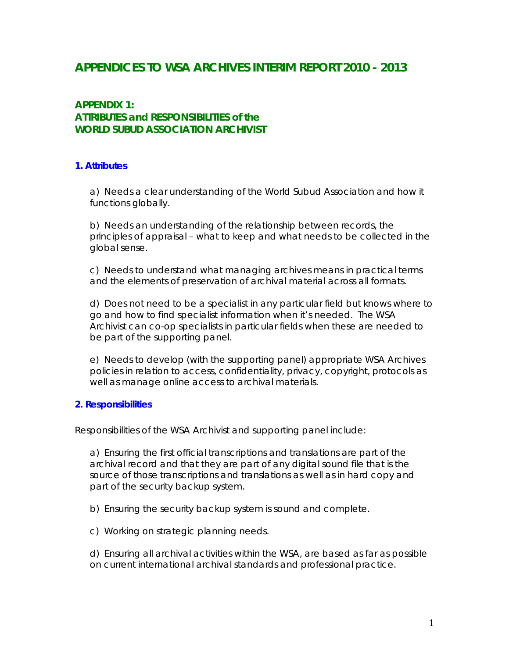# **APPENDICES TO WSA ARCHIVES INTERIM REPORT 2010 - 2013**

# **APPENDIX 1: ATTRIBUTES and RESPONSIBILITIES of the WORLD SUBUD ASSOCIATION ARCHIVIST**

#### **1. Attributes**

a) Needs a clear understanding of the World Subud Association and how it functions globally.

b) Needs an understanding of the relationship between records, the principles of appraisal – what to keep and what needs to be collected in the global sense.

c) Needs to understand what managing archives means in practical terms and the elements of preservation of archival material across all formats.

d) Does not need to be a specialist in any particular field but knows where to go and how to find specialist information when it's needed. The WSA Archivist can co-op specialists in particular fields when these are needed to be part of the supporting panel.

e) Needs to develop (with the supporting panel) appropriate WSA Archives policies in relation to access, confidentiality, privacy, copyright, protocols as well as manage online access to archival materials.

#### **2. Responsibilities**

Responsibilities of the WSA Archivist and supporting panel include:

a) Ensuring the first official transcriptions and translations are part of the archival record and that they are part of any digital sound file that is the source of those transcriptions and translations as well as in hard copy and part of the security backup system.

b) Ensuring the security backup system is sound and complete.

c) Working on strategic planning needs.

d) Ensuring all archival activities within the WSA, are based as far as possible on current international archival standards and professional practice.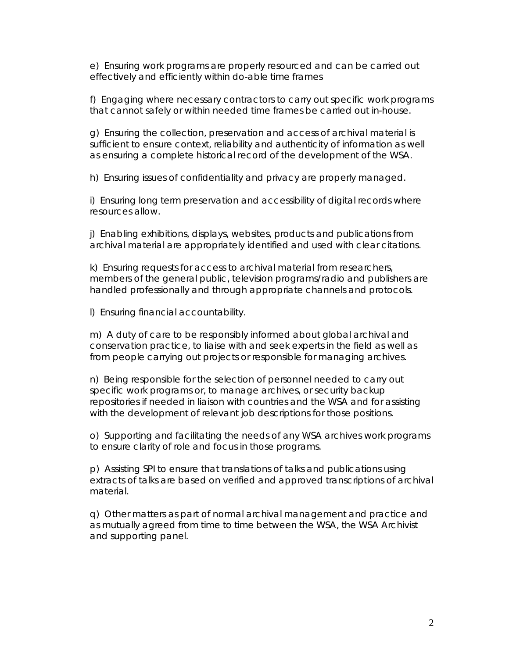e) Ensuring work programs are properly resourced and can be carried out effectively and efficiently within do-able time frames

f) Engaging where necessary contractors to carry out specific work programs that cannot safely or within needed time frames be carried out in-house.

g) Ensuring the collection, preservation and access of archival material is sufficient to ensure context, reliability and authenticity of information as well as ensuring a complete historical record of the development of the WSA.

h) Ensuring issues of confidentiality and privacy are properly managed.

i) Ensuring long term preservation and accessibility of digital records where resources allow.

j) Enabling exhibitions, displays, websites, products and publications from archival material are appropriately identified and used with clear citations.

k) Ensuring requests for access to archival material from researchers, members of the general public, television programs/radio and publishers are handled professionally and through appropriate channels and protocols.

l) Ensuring financial accountability.

m) A duty of care to be responsibly informed about global archival and conservation practice, to liaise with and seek experts in the field as well as from people carrying out projects or responsible for managing archives.

n) Being responsible for the selection of personnel needed to carry out specific work programs or, to manage archives, or security backup repositories if needed in liaison with countries and the WSA and for assisting with the development of relevant job descriptions for those positions.

o) Supporting and facilitating the needs of any WSA archives work programs to ensure clarity of role and focus in those programs.

p) Assisting SPI to ensure that translations of talks and publications using extracts of talks are based on verified and approved transcriptions of archival material.

q) Other matters as part of normal archival management and practice and as mutually agreed from time to time between the WSA, the WSA Archivist and supporting panel.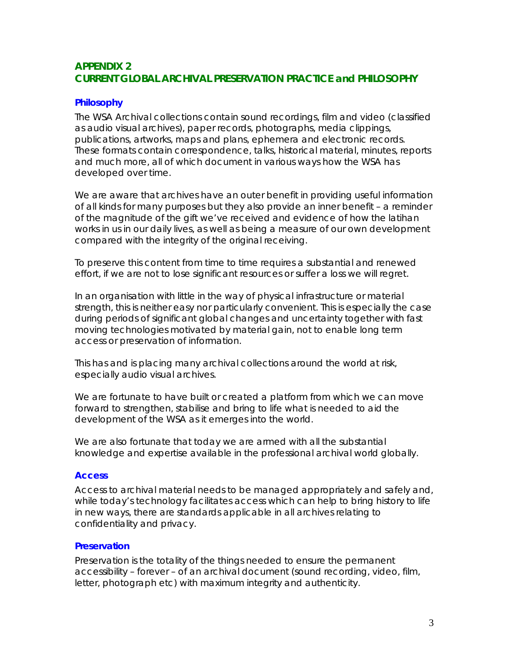## **APPENDIX 2 CURRENT GLOBAL ARCHIVAL PRESERVATION PRACTICE and PHILOSOPHY**

### **Philosophy**

The WSA Archival collections contain sound recordings, film and video (classified as audio visual archives), paper records, photographs, media clippings, publications, artworks, maps and plans, ephemera and electronic records. These formats contain correspondence, talks, historical material, minutes, reports and much more, all of which document in various ways how the WSA has developed over time.

We are aware that archives have an outer benefit in providing useful information of all kinds for many purposes but they also provide an inner benefit – a reminder of the magnitude of the gift we've received and evidence of how the latihan works in us in our daily lives, as well as being a measure of our own development compared with the integrity of the original receiving.

To preserve this content from time to time requires a substantial and renewed effort, if we are not to lose significant resources or suffer a loss we will regret.

In an organisation with little in the way of physical infrastructure or material strength, this is neither easy nor particularly convenient. This is especially the case during periods of significant global changes and uncertainty together with fast moving technologies motivated by material gain, not to enable long term access or preservation of information.

This has and is placing many archival collections around the world at risk, especially audio visual archives.

We are fortunate to have built or created a platform from which we can move forward to strengthen, stabilise and bring to life what is needed to aid the development of the WSA as it emerges into the world.

We are also fortunate that today we are armed with all the substantial knowledge and expertise available in the professional archival world globally.

#### **Access**

Access to archival material needs to be managed appropriately and safely and, while today's technology facilitates access which can help to bring history to life in new ways, there are standards applicable in all archives relating to confidentiality and privacy.

#### **Preservation**

Preservation is the totality of the things needed to ensure the permanent accessibility – forever – of an archival document (sound recording, video, film, letter, photograph etc) with maximum integrity and authenticity.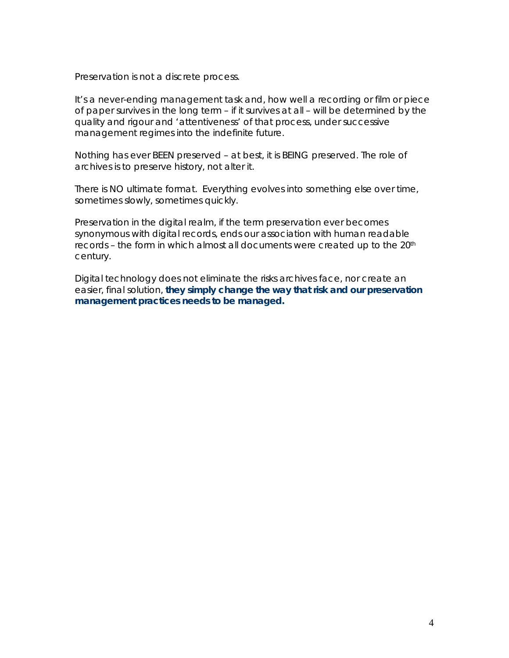Preservation is not a discrete process.

It's a never-ending management task and, how well a recording or film or piece of paper survives in the long term – if it survives at all – will be determined by the quality and rigour and 'attentiveness' of that process, under successive management regimes into the indefinite future.

Nothing has ever BEEN preserved – at best, it is BEING preserved. The role of archives is to preserve history, not alter it.

There is NO ultimate format. Everything evolves into something else over time, sometimes slowly, sometimes quickly.

Preservation in the digital realm, if the term preservation ever becomes synonymous with digital records, ends our association with human readable records - the form in which almost all documents were created up to the 20<sup>th</sup> century.

Digital technology does not eliminate the risks archives face, nor create an easier, final solution, **they simply change the way that risk and our preservation management practices needs to be managed.**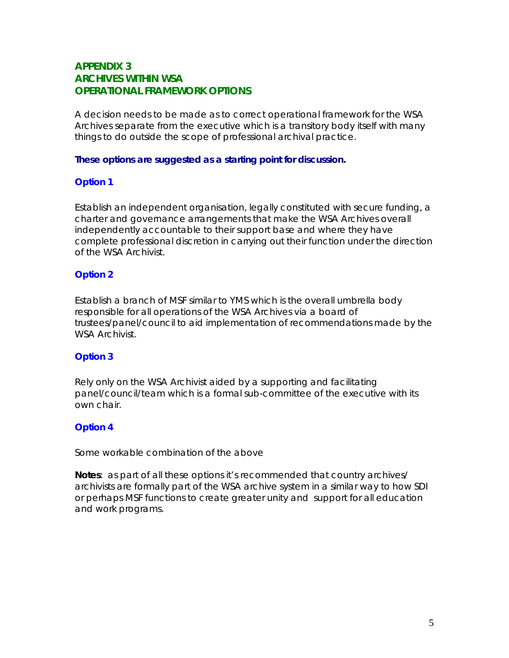## **APPENDIX 3 ARCHIVES WITHIN WSA OPERATIONAL FRAMEWORK OPTIONS**

A decision needs to be made as to correct operational framework for the WSA Archives separate from the executive which is a transitory body itself with many things to do outside the scope of professional archival practice.

#### **These options are suggested as a starting point for discussion.**

#### **Option 1**

Establish an independent organisation, legally constituted with secure funding, a charter and governance arrangements that make the WSA Archives overall independently accountable to their support base and where they have complete professional discretion in carrying out their function under the direction of the WSA Archivist.

### **Option 2**

Establish a branch of MSF similar to YMS which is the overall umbrella body responsible for all operations of the WSA Archives via a board of trustees/panel/council to aid implementation of recommendations made by the WSA Archivist.

### **Option 3**

Rely only on the WSA Archivist aided by a supporting and facilitating panel/council/team which is a formal sub-committee of the executive with its own chair.

## **Option 4**

Some workable combination of the above

**Notes**: as part of all these options it's recommended that country archives/ archivists are formally part of the WSA archive system in a similar way to how SDI or perhaps MSF functions to create greater unity and support for all education and work programs.